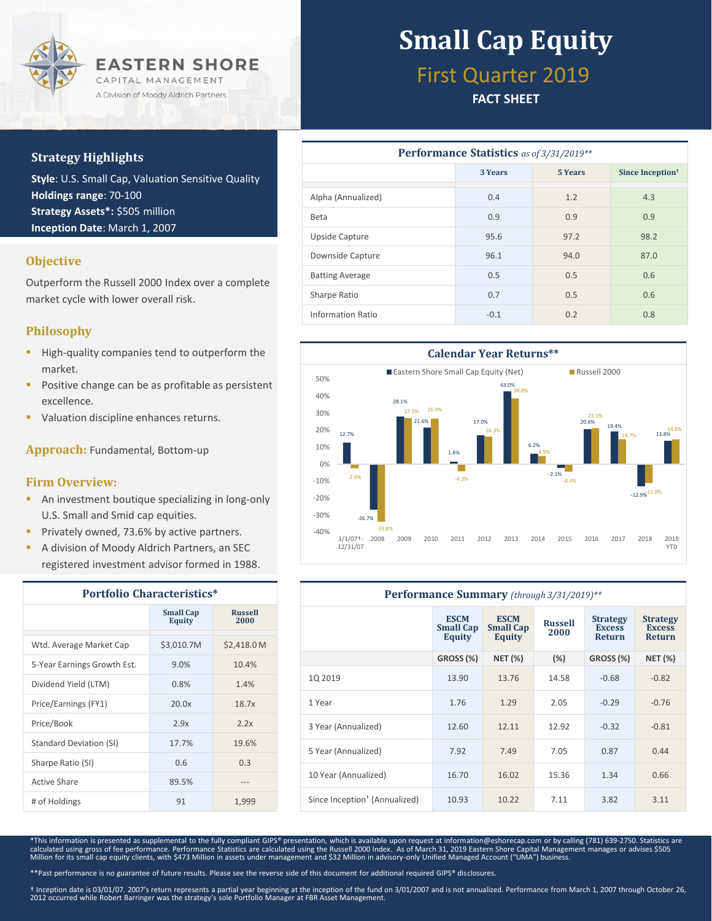

### **Strategy Highlights**

**Style**: U.S. Small Cap, Valuation Sensitive Quality **Holdings range**: 70-100 **Strategy Assets\*:** \$505 million **Inception Date**: March 1, 2007

### **Objective**

Outperform the Russell 2000 Index over a complete market cycle with lower overall risk.

### **Philosophy**

- **High-quality companies tend to outperform the** market.
- Positive change can be as profitable as persistent excellence.
- Valuation discipline enhances returns.

**Approach:** Fundamental, Bottom-up

### **Firm Overview:**

- **An investment boutique specializing in long-only** U.S. Small and Smid cap equities.
- Privately owned, 73.6% by active partners.
- A division of Moody Aldrich Partners, an SEC registered investment advisor formed in 1988.

| <b>Portfolio Characteristics*</b> |                            |                        |  |  |
|-----------------------------------|----------------------------|------------------------|--|--|
|                                   | <b>Small Cap</b><br>Equity | <b>Russell</b><br>2000 |  |  |
| Wtd. Average Market Cap           | \$3,010.7M                 | \$2,418.0 M            |  |  |
| 5-Year Earnings Growth Est.       | 9.0%                       | 10.4%                  |  |  |
| Dividend Yield (LTM)              | 0.8%                       | 1.4%                   |  |  |
| Price/Earnings (FY1)              | 20.0x                      | 18.7x                  |  |  |
| Price/Book                        | 2.9x                       | 2.2x                   |  |  |
| <b>Standard Deviation (SI)</b>    | 17.7%                      | 19.6%                  |  |  |
| Sharpe Ratio (SI)                 | 0.6                        | 0.3                    |  |  |
| Active Share                      | 89.5%                      |                        |  |  |
| # of Holdings                     | 91                         | 1,999                  |  |  |

# **Small Cap Equity**

## First Quarter 2019

### **FACT SHEET**

| Performance Statistics as of 3/31/2019** |         |                |                              |  |  |  |
|------------------------------------------|---------|----------------|------------------------------|--|--|--|
|                                          | 3 Years | <b>5 Years</b> | Since Inception <sup>†</sup> |  |  |  |
| Alpha (Annualized)                       | 0.4     | 1.2            | 4.3                          |  |  |  |
| <b>Beta</b>                              | 0.9     | 0.9            | 0.9                          |  |  |  |
| Upside Capture                           | 95.6    | 97.2           | 98.2                         |  |  |  |
| Downside Capture                         | 96.1    | 94.0           | 87.0                         |  |  |  |
| <b>Batting Average</b>                   | 0.5     | 0.5            | 0.6                          |  |  |  |
| Sharpe Ratio                             | 0.7     | 0.5            | 0.6                          |  |  |  |
| Information Ratio                        | $-0.1$  | 0.2            | 0.8                          |  |  |  |



| <b>Performance Summary</b> (through 3/31/2019)** |                                                  |                                                  |                        |                                                   |                                                   |  |
|--------------------------------------------------|--------------------------------------------------|--------------------------------------------------|------------------------|---------------------------------------------------|---------------------------------------------------|--|
|                                                  | <b>ESCM</b><br><b>Small Cap</b><br><b>Equity</b> | <b>ESCM</b><br><b>Small Cap</b><br><b>Equity</b> | <b>Russell</b><br>2000 | <b>Strategy</b><br><b>Excess</b><br><b>Return</b> | <b>Strategy</b><br><b>Excess</b><br><b>Return</b> |  |
|                                                  | <b>GROSS (%)</b>                                 | <b>NET (%)</b>                                   | $(\%)$                 | GROSS (%)                                         | <b>NET (%)</b>                                    |  |
| 10 2019                                          | 13.90                                            | 13.76                                            | 14.58                  | $-0.68$                                           | $-0.82$                                           |  |
| 1 Year                                           | 1.76                                             | 1.29                                             | 2.05                   | $-0.29$                                           | $-0.76$                                           |  |
| 3 Year (Annualized)                              | 12.60                                            | 12.11                                            | 12.92                  | $-0.32$                                           | $-0.81$                                           |  |
| 5 Year (Annualized)                              | 7.92                                             | 7.49                                             | 7.05                   | 0.87                                              | 0.44                                              |  |
| 10 Year (Annualized)                             | 16.70                                            | 16.02                                            | 15.36                  | 1.34                                              | 0.66                                              |  |
| Since Inception <sup>†</sup> (Annualized)        | 10.93                                            | 10.22                                            | 7.11                   | 3.82                                              | 3.11                                              |  |

\*This information is presented as supplemental to the fully compliant GIPS® presentation, which is available upon request at information@eshorecap.com or by calling (781) 639-2750. Statistics are<br>calculated using gross of Million for its small cap equity clients, with \$473 Million in assets under management and \$32 Million in advisory-only Unified Managed Account ("UMA") business.

\*\*Past performance is no guarantee of future results. Please see the reverse side of this document for additional required GIPS® disclosures.

† Inception date is 03/01/07. 2007's return represents a partial year beginning at the inception of the fund on 3/01/2007 and is not annualized. Performance from March 1, 2007 through October 26,<br>2012 occurred while Robert